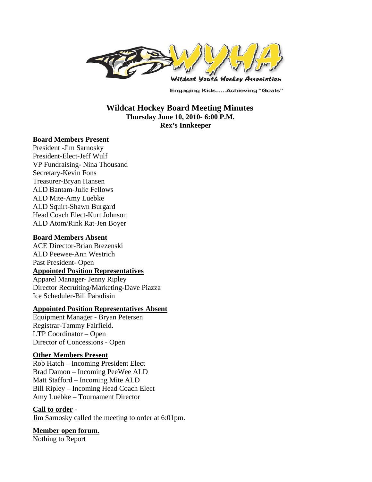

**Engaging Kids.....Achieving "Goals"** 

## **Wildcat Hockey Board Meeting Minutes Thursday June 10, 2010- 6:00 P.M. Rex's Innkeeper**

#### **Board Members Present**

President -Jim Sarnosky President-Elect-Jeff Wulf VP Fundraising- Nina Thousand Secretary-Kevin Fons Treasurer-Bryan Hansen ALD Bantam-Julie Fellows ALD Mite-Amy Luebke ALD Squirt-Shawn Burgard Head Coach Elect-Kurt Johnson ALD Atom/Rink Rat-Jen Boyer

#### **Board Members Absent**

ACE Director-Brian Brezenski ALD Peewee-Ann Westrich Past President- Open **Appointed Position Representatives** Apparel Manager- Jenny Ripley Director Recruiting/Marketing-Dave Piazza Ice Scheduler-Bill Paradisin

#### **Appointed Position Representatives Absent**

Equipment Manager - Bryan Petersen Registrar-Tammy Fairfield. LTP Coordinator – Open Director of Concessions - Open

#### **Other Members Present**

Rob Hatch – Incoming President Elect Brad Damon – Incoming PeeWee ALD Matt Stafford – Incoming Mite ALD Bill Ripley – Incoming Head Coach Elect Amy Luebke – Tournament Director

#### **Call to order** -

Jim Sarnosky called the meeting to order at 6:01pm.

#### **Member open forum**.

Nothing to Report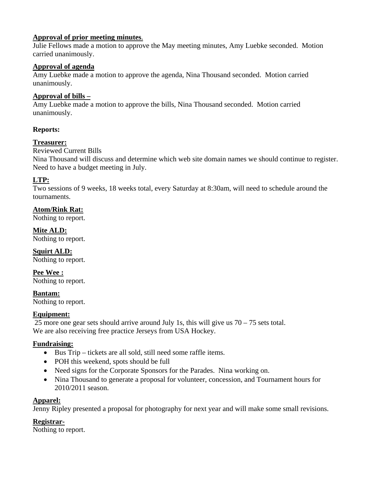### **Approval of prior meeting minutes**.

Julie Fellows made a motion to approve the May meeting minutes, Amy Luebke seconded. Motion carried unanimously.

### **Approval of agenda**

Amy Luebke made a motion to approve the agenda, Nina Thousand seconded. Motion carried unanimously.

### **Approval of bills –**

Amy Luebke made a motion to approve the bills, Nina Thousand seconded. Motion carried unanimously.

### **Reports:**

### **Treasurer:**

Reviewed Current Bills

Nina Thousand will discuss and determine which web site domain names we should continue to register. Need to have a budget meeting in July.

### **LTP:**

Two sessions of 9 weeks, 18 weeks total, every Saturday at 8:30am, will need to schedule around the tournaments.

**Atom/Rink Rat:**  Nothing to report.

**Mite ALD:**  Nothing to report.

**Squirt ALD:**  Nothing to report.

**Pee Wee :**  Nothing to report.

**Bantam:**  Nothing to report.

#### **Equipment:**

25 more one gear sets should arrive around July 1s, this will give us  $70 - 75$  sets total. We are also receiving free practice Jerseys from USA Hockey.

## **Fundraising:**

- Bus Trip tickets are all sold, still need some raffle items.
- POH this weekend, spots should be full
- Need signs for the Corporate Sponsors for the Parades. Nina working on.
- Nina Thousand to generate a proposal for volunteer, concession, and Tournament hours for 2010/2011 season.

#### **Apparel:**

Jenny Ripley presented a proposal for photography for next year and will make some small revisions.

#### **Registrar-**

Nothing to report.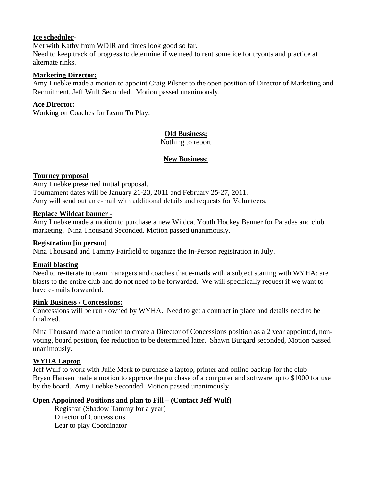### **Ice scheduler-**

Met with Kathy from WDIR and times look good so far.

Need to keep track of progress to determine if we need to rent some ice for tryouts and practice at alternate rinks.

#### **Marketing Director:**

Amy Luebke made a motion to appoint Craig Pilsner to the open position of Director of Marketing and Recruitment, Jeff Wulf Seconded. Motion passed unanimously.

### **Ace Director:**

Working on Coaches for Learn To Play.

# **Old Business;**

Nothing to report

## **New Business:**

### **Tourney proposal**

Amy Luebke presented initial proposal. Tournament dates will be January 21-23, 2011 and February 25-27, 2011. Amy will send out an e-mail with additional details and requests for Volunteers.

### **Replace Wildcat banner -**

Amy Luebke made a motion to purchase a new Wildcat Youth Hockey Banner for Parades and club marketing. Nina Thousand Seconded. Motion passed unanimously.

#### **Registration [in person]**

Nina Thousand and Tammy Fairfield to organize the In-Person registration in July.

## **Email blasting**

Need to re-iterate to team managers and coaches that e-mails with a subject starting with WYHA: are blasts to the entire club and do not need to be forwarded. We will specifically request if we want to have e-mails forwarded.

#### **Rink Business / Concessions:**

Concessions will be run / owned by WYHA. Need to get a contract in place and details need to be finalized.

Nina Thousand made a motion to create a Director of Concessions position as a 2 year appointed, nonvoting, board position, fee reduction to be determined later. Shawn Burgard seconded, Motion passed unanimously.

## **WYHA Laptop**

Jeff Wulf to work with Julie Merk to purchase a laptop, printer and online backup for the club Bryan Hansen made a motion to approve the purchase of a computer and software up to \$1000 for use by the board. Amy Luebke Seconded. Motion passed unanimously.

## **Open Appointed Positions and plan to Fill – (Contact Jeff Wulf)**

Registrar (Shadow Tammy for a year) Director of Concessions Lear to play Coordinator